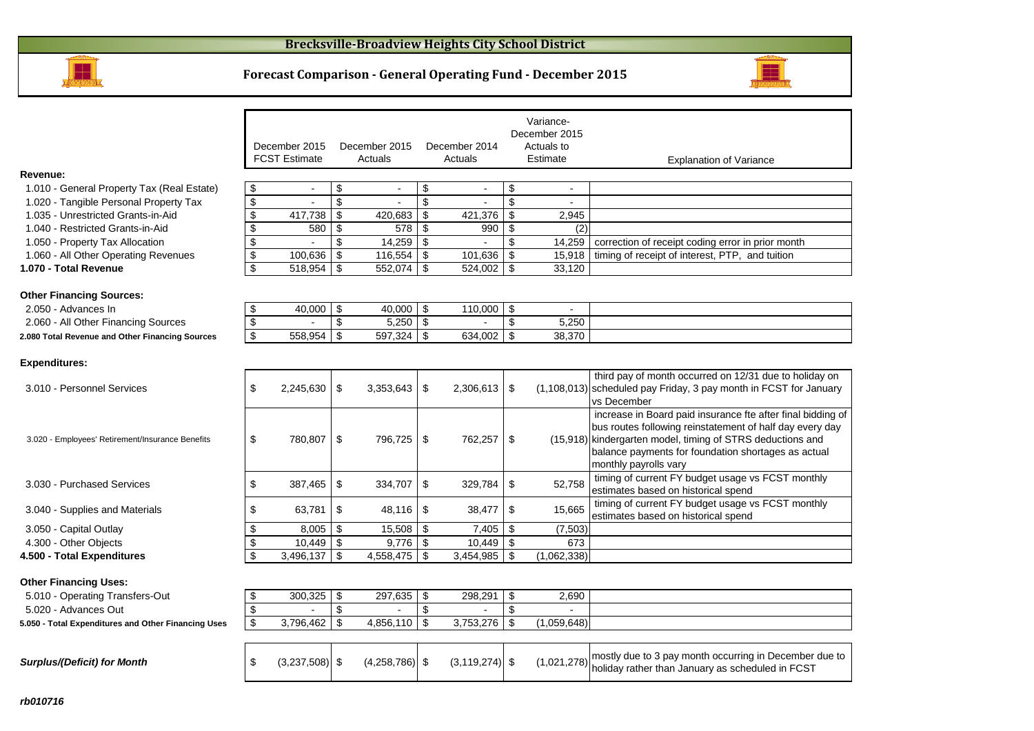

#### **Forecast Comparison - General Operating Fund - December 2015**



|                                                               |                           |                                       |                           |                          |            |                          |                         | Variance-              |                                                                                                                                                                                                                                                                       |
|---------------------------------------------------------------|---------------------------|---------------------------------------|---------------------------|--------------------------|------------|--------------------------|-------------------------|------------------------|-----------------------------------------------------------------------------------------------------------------------------------------------------------------------------------------------------------------------------------------------------------------------|
|                                                               |                           |                                       |                           |                          |            |                          |                         | December 2015          |                                                                                                                                                                                                                                                                       |
|                                                               |                           | December 2015<br><b>FCST Estimate</b> |                           | December 2015<br>Actuals |            | December 2014<br>Actuals |                         | Actuals to<br>Estimate | <b>Explanation of Variance</b>                                                                                                                                                                                                                                        |
| Revenue:                                                      |                           |                                       |                           |                          |            |                          |                         |                        |                                                                                                                                                                                                                                                                       |
| 1.010 - General Property Tax (Real Estate)                    | \$                        |                                       | \$                        |                          | \$         |                          | \$                      |                        |                                                                                                                                                                                                                                                                       |
| 1.020 - Tangible Personal Property Tax                        | $\boldsymbol{\mathsf{S}}$ | $\overline{a}$                        | \$                        | $\overline{a}$           | \$         |                          | \$                      | $\blacksquare$         |                                                                                                                                                                                                                                                                       |
| 1.035 - Unrestricted Grants-in-Aid                            | \$                        | 417,738                               | \$                        | 420,683                  | -\$        | 421,376                  | \$                      | 2.945                  |                                                                                                                                                                                                                                                                       |
| 1.040 - Restricted Grants-in-Aid                              | \$                        | 580                                   | -\$                       | 578                      | -\$        | 990                      | \$                      | (2)                    |                                                                                                                                                                                                                                                                       |
|                                                               | \$                        |                                       | \$                        |                          | -\$        |                          | \$                      |                        |                                                                                                                                                                                                                                                                       |
| 1.050 - Property Tax Allocation                               |                           |                                       |                           | 14,259                   |            |                          |                         | 14,259                 | correction of receipt coding error in prior month                                                                                                                                                                                                                     |
| 1.060 - All Other Operating Revenues<br>1.070 - Total Revenue | \$<br>\$                  | 100,636                               | \$                        | 116,554                  | -\$<br>-\$ | 101,636                  | \$                      | 15,918                 | timing of receipt of interest, PTP, and tuition                                                                                                                                                                                                                       |
|                                                               |                           | 518,954                               | \$                        | 552,074                  |            | 524,002                  | $\mathfrak{S}$          | 33,120                 |                                                                                                                                                                                                                                                                       |
| <b>Other Financing Sources:</b>                               |                           |                                       |                           |                          |            |                          |                         |                        |                                                                                                                                                                                                                                                                       |
| 2.050 - Advances In                                           | \$                        | 40,000 $\sqrt{5}$                     |                           | 40,000                   | \$         | $110,000$ \$             |                         |                        |                                                                                                                                                                                                                                                                       |
| 2.060 - All Other Financing Sources                           | \$                        |                                       | $\boldsymbol{\mathsf{S}}$ | 5,250                    | \$         |                          | \$                      | 5,250                  |                                                                                                                                                                                                                                                                       |
| 2.080 Total Revenue and Other Financing Sources               | \$                        | 558,954                               | \$                        | 597,324                  | \$         | 634,002                  | $\overline{\mathbf{e}}$ | 38,370                 |                                                                                                                                                                                                                                                                       |
| <b>Expenditures:</b>                                          |                           |                                       |                           |                          |            |                          |                         |                        | third pay of month occurred on 12/31 due to holiday on                                                                                                                                                                                                                |
| 3.010 - Personnel Services                                    | \$                        | 2,245,630                             | \$                        | 3,353,643                | \$         | $2,306,613$ \$           |                         |                        | $(1,108,013)$ scheduled pay Friday, 3 pay month in FCST for January<br>vs December                                                                                                                                                                                    |
| 3.020 - Employees' Retirement/Insurance Benefits              | \$                        | 780,807                               | \$                        | 796,725                  | -\$        | 762,257                  | -\$                     |                        | increase in Board paid insurance fte after final bidding of<br>bus routes following reinstatement of half day every day<br>(15,918) kindergarten model, timing of STRS deductions and<br>balance payments for foundation shortages as actual<br>monthly payrolls vary |
| 3.030 - Purchased Services                                    | \$                        | 387,465                               | \$                        | 334,707                  | -\$        | 329,784                  | \$                      | 52,758                 | timing of current FY budget usage vs FCST monthly<br>estimates based on historical spend                                                                                                                                                                              |
| 3.040 - Supplies and Materials                                | \$                        | 63,781                                | \$                        | 48,116                   | -\$        | 38,477                   | \$                      | 15,665                 | timing of current FY budget usage vs FCST monthly<br>estimates based on historical spend                                                                                                                                                                              |
| 3.050 - Capital Outlay                                        | \$                        | $8,005$ \$                            |                           | 15,508                   | -\$        | 7,405                    | \$                      | (7,503)                |                                                                                                                                                                                                                                                                       |
| 4.300 - Other Objects                                         | \$                        | $10,449$ \ \$                         |                           | 9,776                    | l \$       | 10,449                   | <b>S</b>                | 673                    |                                                                                                                                                                                                                                                                       |
| 4.500 - Total Expenditures                                    | \$                        | 3,496,137                             | \$                        | 4,558,475                | -\$        | 3,454,985                | \$                      | (1,062,338)            |                                                                                                                                                                                                                                                                       |
|                                                               |                           |                                       |                           |                          |            |                          |                         |                        |                                                                                                                                                                                                                                                                       |
| <b>Other Financing Uses:</b>                                  |                           |                                       |                           |                          |            |                          |                         |                        |                                                                                                                                                                                                                                                                       |
| 5.010 - Operating Transfers-Out                               | \$                        | $300,325$ \$                          |                           | 297,635                  | \$         | 298,291                  | \$                      | 2,690                  |                                                                                                                                                                                                                                                                       |
| 5.020 - Advances Out                                          | \$                        |                                       | \$                        |                          | \$         |                          | \$                      |                        |                                                                                                                                                                                                                                                                       |
| 5.050 - Total Expenditures and Other Financing Uses           | \$                        | 3,796,462                             | $\boldsymbol{\mathsf{S}}$ | 4,856,110                | \$         | 3,753,276                | $\sqrt[6]{\frac{1}{2}}$ | (1,059,648)            |                                                                                                                                                                                                                                                                       |

|  | $3.237,508$ \$ | $(4.258.786)$ \$ | $(3, 119, 274)$ \$ |  | $(1,021,278)$ mostly due to 3 pay month occurring in December due to $(1,021,278)$ holiday rather than January as scheduled in FCST |
|--|----------------|------------------|--------------------|--|-------------------------------------------------------------------------------------------------------------------------------------|

| ) - Personnel Services                     | 2,245,630 |     | 3,353,643 | \$<br>$2,306,613$   \$ |      |             | third pay of month occurred on 12/31 due to holiday on<br>(1,108,013) scheduled pay Friday, 3 pay month in FCST for January<br><b>vs December</b>                                                                                                                     |
|--------------------------------------------|-----------|-----|-----------|------------------------|------|-------------|-----------------------------------------------------------------------------------------------------------------------------------------------------------------------------------------------------------------------------------------------------------------------|
| - Employees' Retirement/Insurance Benefits | 780.807   | S.  | 796.725   | \$<br>762.257          | - \$ |             | increase in Board paid insurance fte after final bidding of<br>bus routes following reinstatement of half day every day<br>(15,918) kindergarten model, timing of STRS deductions and<br>balance payments for foundation shortages as actual<br>monthly payrolls vary |
| 1 - Purchased Services                     | 387,465   |     | 334.707   | \$<br>$329,784$ \ \$   |      | 52,758      | timing of current FY budget usage vs FCST monthly<br>estimates based on historical spend                                                                                                                                                                              |
| 0 - Supplies and Materials                 | 63.781    | - 5 | 48.116    | \$                     |      | 15,665      | timing of current FY budget usage vs FCST monthly<br>estimates based on historical spend                                                                                                                                                                              |
| ) - Capital Outlay                         | 8,005     |     | 15,508    | 7,405                  |      | (7, 503)    |                                                                                                                                                                                                                                                                       |
| ) - Other Objects                          | 10.449    |     | 9.776     | 10.449                 |      | 673         |                                                                                                                                                                                                                                                                       |
| - Total Expenditures                       | 3,496,137 |     | 4,558,475 | 3,454,985              |      | (1,062,338) |                                                                                                                                                                                                                                                                       |
|                                            |           |     |           |                        |      |             |                                                                                                                                                                                                                                                                       |

| 5.050 - Total Expenditures and Other Financing Uses |  |
|-----------------------------------------------------|--|
| 5.020 - Advances Out                                |  |
| 5.010 - Operating Transfers-Out                     |  |

**Surplus/(Deficit) for Month**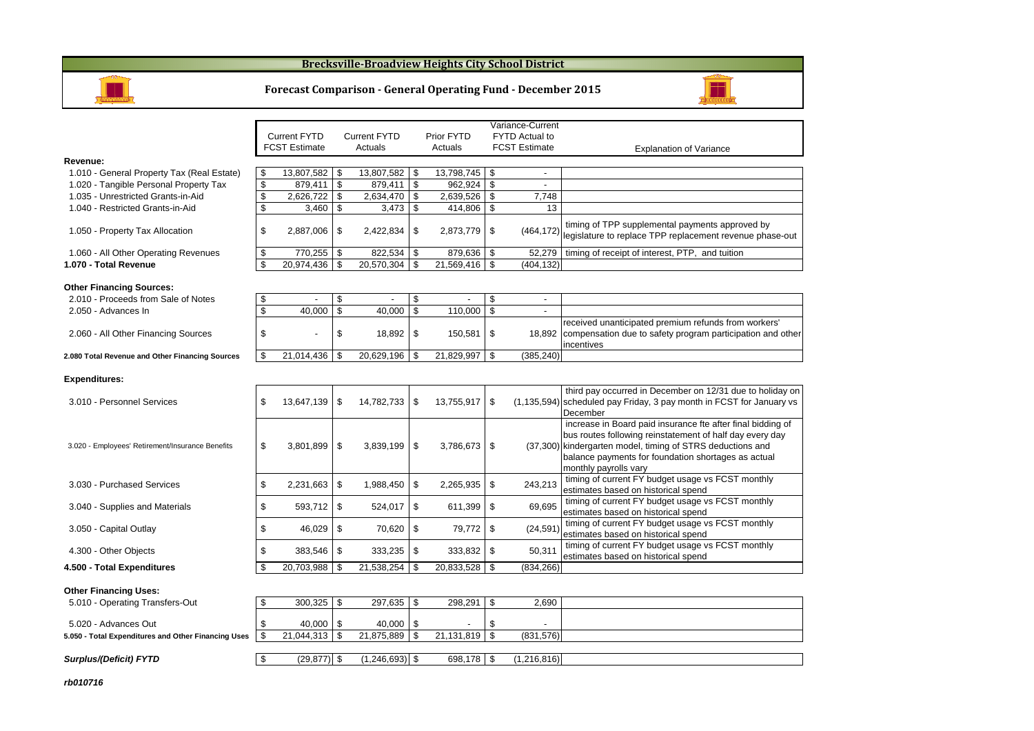#### **Brecksville-Broadview Heights City School District**



#### **Forecast Comparison - General Operating Fund - December 2015**



|                                                     |                       |                                |      |            |                    | Variance-Current         |                                                                                                                                                                                                                                                                       |
|-----------------------------------------------------|-----------------------|--------------------------------|------|------------|--------------------|--------------------------|-----------------------------------------------------------------------------------------------------------------------------------------------------------------------------------------------------------------------------------------------------------------------|
|                                                     | <b>Current FYTD</b>   | <b>Current FYTD</b>            |      | Prior FYTD |                    | <b>FYTD Actual to</b>    |                                                                                                                                                                                                                                                                       |
|                                                     | <b>FCST Estimate</b>  | Actuals                        |      | Actuals    |                    | <b>FCST Estimate</b>     | <b>Explanation of Variance</b>                                                                                                                                                                                                                                        |
| Revenue:                                            |                       |                                |      |            |                    |                          |                                                                                                                                                                                                                                                                       |
| 1.010 - General Property Tax (Real Estate)          | \$<br>13,807,582      | \$<br>13,807,582               | -\$  | 13,798,745 | \$                 | $\overline{\phantom{a}}$ |                                                                                                                                                                                                                                                                       |
| 1.020 - Tangible Personal Property Tax              | \$<br>879.411         | \$<br>879.411                  | \$   | 962.924    | \$                 | $\blacksquare$           |                                                                                                                                                                                                                                                                       |
| 1.035 - Unrestricted Grants-in-Aid                  | \$<br>2,626,722       | \$<br>2,634,470                | \$   | 2,639,526  | \$                 | 7,748                    |                                                                                                                                                                                                                                                                       |
| 1.040 - Restricted Grants-in-Aid                    | \$<br>3,460           | \$<br>3,473                    | \$   | 414,806    | \$                 | 13                       |                                                                                                                                                                                                                                                                       |
| 1.050 - Property Tax Allocation                     | \$<br>2,887,006       | \$<br>2,422,834                | \$   | 2,873,779  | -\$                | (464, 172)               | timing of TPP supplemental payments approved by<br>legislature to replace TPP replacement revenue phase-out                                                                                                                                                           |
| 1.060 - All Other Operating Revenues                | \$<br>770,255         | \$<br>822,534                  | - \$ | 879,636    | -\$                | 52,279                   | timing of receipt of interest, PTP, and tuition                                                                                                                                                                                                                       |
| 1.070 - Total Revenue                               | \$<br>20,974,436      | \$<br>20,570,304               | \$   | 21,569,416 | $\mathbf{\hat{s}}$ | (404, 132)               |                                                                                                                                                                                                                                                                       |
|                                                     |                       |                                |      |            |                    |                          |                                                                                                                                                                                                                                                                       |
| <b>Other Financing Sources:</b>                     |                       |                                |      |            |                    |                          |                                                                                                                                                                                                                                                                       |
| 2.010 - Proceeds from Sale of Notes                 | \$                    | \$<br>$\overline{\phantom{a}}$ | \$   |            | \$                 | $\overline{\phantom{a}}$ |                                                                                                                                                                                                                                                                       |
| 2.050 - Advances In                                 | \$<br>40.000          | \$<br>40,000                   | \$   | 110.000    | \$                 | $\overline{a}$           |                                                                                                                                                                                                                                                                       |
|                                                     |                       |                                |      |            |                    |                          | received unanticipated premium refunds from workers'                                                                                                                                                                                                                  |
| 2.060 - All Other Financing Sources                 | \$                    | \$<br>18,892                   | \$   | 150,581    | \$                 | 18,892                   | compensation due to safety program participation and other<br>incentives                                                                                                                                                                                              |
| 2.080 Total Revenue and Other Financing Sources     | \$<br>21,014,436      | \$<br>20,629,196               | -\$  | 21,829,997 | \$                 | (385, 240)               |                                                                                                                                                                                                                                                                       |
|                                                     |                       |                                |      |            |                    |                          |                                                                                                                                                                                                                                                                       |
| <b>Expenditures:</b>                                |                       |                                |      |            |                    |                          |                                                                                                                                                                                                                                                                       |
| 3.010 - Personnel Services                          | \$<br>13,647,139      | \$<br>14,782,733               | \$   | 13,755,917 | \$                 |                          | third pay occurred in December on 12/31 due to holiday on<br>(1,135,594) scheduled pay Friday, 3 pay month in FCST for January vs<br>December                                                                                                                         |
| 3.020 - Employees' Retirement/Insurance Benefits    | \$<br>3,801,899       | \$<br>3,839,199                | \$   | 3,786,673  | \$                 |                          | increase in Board paid insurance fte after final bidding of<br>bus routes following reinstatement of half day every day<br>(37,300) kindergarten model, timing of STRS deductions and<br>balance payments for foundation shortages as actual<br>monthly payrolls vary |
| 3.030 - Purchased Services                          | \$<br>2,231,663       | \$<br>1,988,450                | \$   | 2,265,935  | \$                 | 243,213                  | timing of current FY budget usage vs FCST monthly<br>estimates based on historical spend                                                                                                                                                                              |
| 3.040 - Supplies and Materials                      | \$<br>593,712         | \$<br>524,017                  | \$   | 611,399    | \$                 | 69,695                   | timing of current FY budget usage vs FCST monthly<br>estimates based on historical spend                                                                                                                                                                              |
| 3.050 - Capital Outlay                              | \$<br>46,029          | \$<br>70,620                   | \$   | 79,772     | \$                 | (24, 591)                | timing of current FY budget usage vs FCST monthly<br>estimates based on historical spend                                                                                                                                                                              |
| 4.300 - Other Objects                               | \$<br>383,546         | \$<br>333,235                  | \$   | 333,832    | \$                 | 50,311                   | timing of current FY budget usage vs FCST monthly<br>estimates based on historical spend                                                                                                                                                                              |
| 4.500 - Total Expenditures                          | \$<br>20,703,988      | \$<br>21,538,254               | l \$ | 20,833,528 | \$                 | (834, 266)               |                                                                                                                                                                                                                                                                       |
|                                                     |                       |                                |      |            |                    |                          |                                                                                                                                                                                                                                                                       |
| <b>Other Financing Uses:</b>                        |                       |                                |      |            |                    |                          |                                                                                                                                                                                                                                                                       |
| 5.010 - Operating Transfers-Out                     | 300,325               | \$<br>297,635 \$               |      | 298,291    | \$                 | 2,690                    |                                                                                                                                                                                                                                                                       |
|                                                     |                       |                                |      |            |                    |                          |                                                                                                                                                                                                                                                                       |
| 5.020 - Advances Out                                | \$<br>40,000          | \$<br>40,000                   | \$   |            | \$                 |                          |                                                                                                                                                                                                                                                                       |
| 5.050 - Total Expenditures and Other Financing Uses | \$<br>$21,044,313$ \$ | $21,875,889$ \$                |      | 21,131,819 | $\sqrt{3}$         | (831, 576)               |                                                                                                                                                                                                                                                                       |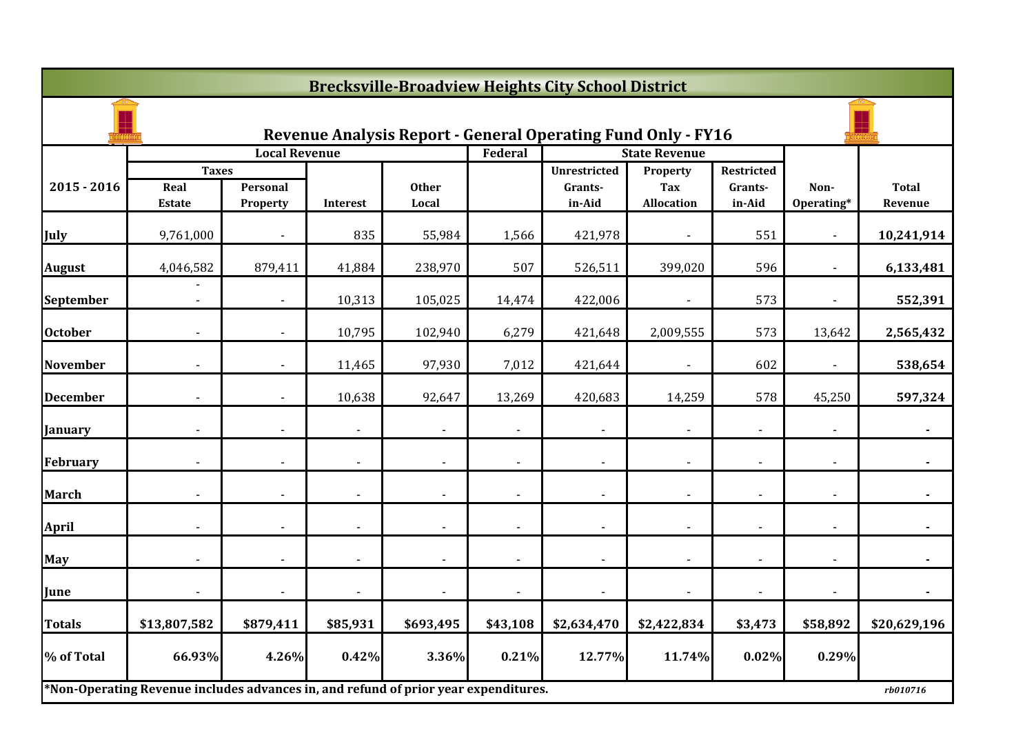|                 | <b>Brecksville-Broadview Heights City School District</b>                           |                      |                |                       |                          |                                                                     |                          |                   |                    |                         |  |  |
|-----------------|-------------------------------------------------------------------------------------|----------------------|----------------|-----------------------|--------------------------|---------------------------------------------------------------------|--------------------------|-------------------|--------------------|-------------------------|--|--|
|                 |                                                                                     |                      |                |                       |                          | <b>Revenue Analysis Report - General Operating Fund Only - FY16</b> |                          |                   |                    |                         |  |  |
|                 |                                                                                     | <b>Local Revenue</b> |                |                       | Federal                  |                                                                     | <b>State Revenue</b>     |                   |                    |                         |  |  |
|                 | <b>Taxes</b>                                                                        |                      |                |                       |                          | <b>Unrestricted</b>                                                 | Property                 | Restricted        |                    |                         |  |  |
| $2015 - 2016$   | Real<br><b>Estate</b>                                                               | Personal<br>Property | Interest       | <b>Other</b><br>Local |                          | Grants-<br>in-Aid                                                   | Tax<br><b>Allocation</b> | Grants-<br>in-Aid | Non-<br>Operating* | <b>Total</b><br>Revenue |  |  |
| July            | 9,761,000                                                                           |                      | 835            | 55,984                | 1,566                    | 421,978                                                             |                          | 551               |                    | 10,241,914              |  |  |
| <b>August</b>   | 4,046,582                                                                           | 879,411              | 41,884         | 238,970               | 507                      | 526,511                                                             | 399,020                  | 596               |                    | 6,133,481               |  |  |
| September       | $\blacksquare$                                                                      | $\blacksquare$       | 10,313         | 105,025               | 14,474                   | 422,006                                                             | $\blacksquare$           | 573               | $\blacksquare$     | 552,391                 |  |  |
| <b>October</b>  |                                                                                     |                      | 10,795         | 102,940               | 6,279                    | 421,648                                                             | 2,009,555                | 573               | 13,642             | 2,565,432               |  |  |
| <b>November</b> |                                                                                     |                      | 11,465         | 97,930                | 7,012                    | 421,644                                                             |                          | 602               |                    | 538,654                 |  |  |
| <b>December</b> |                                                                                     |                      | 10,638         | 92,647                | 13,269                   | 420,683                                                             | 14,259                   | 578               | 45,250             | 597,324                 |  |  |
| <b>January</b>  |                                                                                     |                      |                |                       |                          |                                                                     |                          |                   |                    |                         |  |  |
| February        | $\blacksquare$                                                                      | $\blacksquare$       | $\blacksquare$ | $\blacksquare$        | $\overline{\phantom{a}}$ | $\overline{\phantom{a}}$                                            | $\blacksquare$           | $\blacksquare$    | $\blacksquare$     | $\blacksquare$          |  |  |
| <b>March</b>    |                                                                                     |                      |                |                       |                          | $\blacksquare$                                                      |                          |                   |                    |                         |  |  |
| <b>April</b>    |                                                                                     |                      | $\overline{a}$ |                       |                          | $\blacksquare$                                                      |                          |                   |                    |                         |  |  |
| <b>May</b>      |                                                                                     |                      |                |                       |                          | $\blacksquare$                                                      |                          |                   |                    |                         |  |  |
| June            |                                                                                     |                      | $\blacksquare$ |                       |                          | $\overline{\phantom{a}}$                                            |                          |                   |                    |                         |  |  |
| Totals          | \$13,807,582                                                                        | \$879,411            | \$85,931       | \$693,495             | \$43,108                 | \$2,634,470                                                         | \$2,422,834              | \$3,473           | \$58,892           | \$20,629,196            |  |  |
| % of Total      | 66.93%                                                                              | 4.26%                | 0.42%          | 3.36%                 | 0.21%                    | 12.77%                                                              | 11.74%                   | 0.02%             | 0.29%              |                         |  |  |
|                 | *Non-Operating Revenue includes advances in, and refund of prior year expenditures. |                      |                |                       |                          |                                                                     |                          |                   |                    | rb010716                |  |  |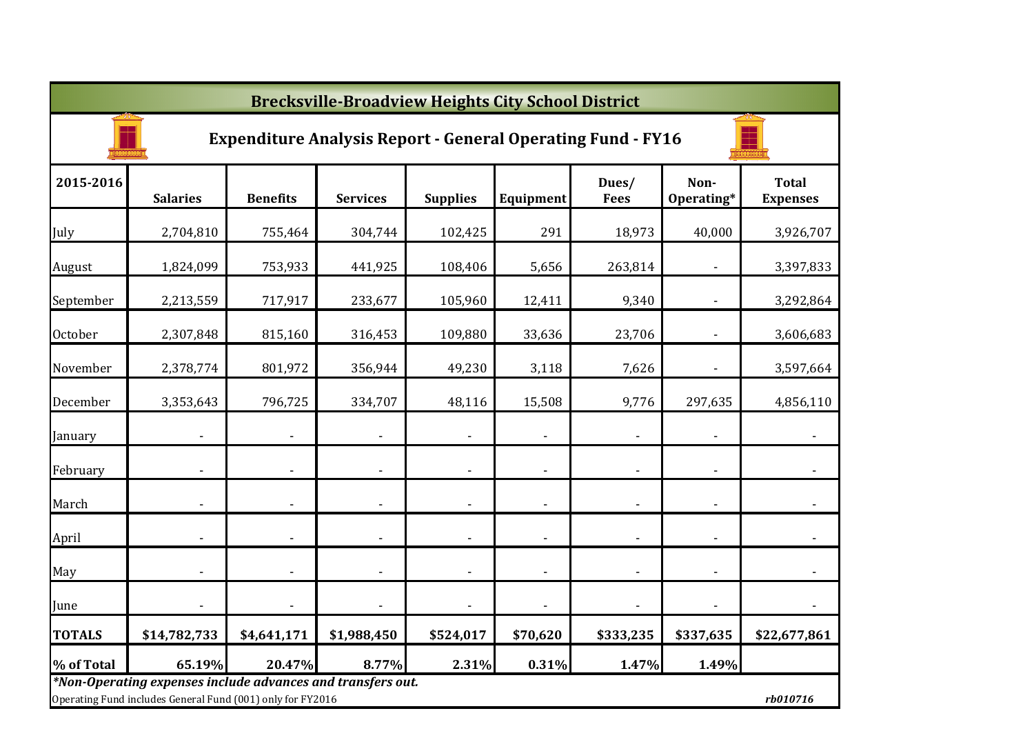|                | <b>Brecksville-Broadview Heights City School District</b>                                                                             |                          |                              |                          |                          |                      |                          |                                 |  |  |  |  |  |
|----------------|---------------------------------------------------------------------------------------------------------------------------------------|--------------------------|------------------------------|--------------------------|--------------------------|----------------------|--------------------------|---------------------------------|--|--|--|--|--|
|                | <b>Expenditure Analysis Report - General Operating Fund - FY16</b>                                                                    |                          |                              |                          |                          |                      |                          |                                 |  |  |  |  |  |
| 2015-2016      | <b>Salaries</b>                                                                                                                       | <b>Benefits</b>          | <b>Services</b>              | <b>Supplies</b>          | Equipment                | Dues/<br><b>Fees</b> | Non-<br>Operating*       | <b>Total</b><br><b>Expenses</b> |  |  |  |  |  |
| July           | 2,704,810                                                                                                                             | 755,464                  | 304,744                      | 102,425                  | 291                      | 18,973               | 40,000                   | 3,926,707                       |  |  |  |  |  |
| August         | 1,824,099                                                                                                                             | 753,933                  | 441,925                      | 108,406                  | 5,656                    | 263,814              |                          | 3,397,833                       |  |  |  |  |  |
| September      | 2,213,559                                                                                                                             | 717,917                  | 233,677                      | 105,960                  | 12,411                   | 9,340                |                          | 3,292,864                       |  |  |  |  |  |
| <b>October</b> | 2,307,848                                                                                                                             | 815,160                  | 316,453                      | 109,880                  | 33,636                   | 23,706               |                          | 3,606,683                       |  |  |  |  |  |
| November       | 2,378,774                                                                                                                             | 801,972                  | 356,944                      | 49,230                   | 3,118                    | 7,626                |                          | 3,597,664                       |  |  |  |  |  |
| December       | 3,353,643                                                                                                                             | 796,725                  | 334,707                      | 48,116                   | 15,508                   | 9,776                | 297,635                  | 4,856,110                       |  |  |  |  |  |
| January        |                                                                                                                                       | $\overline{\phantom{a}}$ | $\overline{\phantom{a}}$     | $\overline{\phantom{a}}$ | $\overline{\phantom{a}}$ |                      | $\overline{\phantom{a}}$ | $\overline{\phantom{a}}$        |  |  |  |  |  |
| February       |                                                                                                                                       |                          | $\qquad \qquad \blacksquare$ |                          | $\overline{\phantom{a}}$ |                      |                          |                                 |  |  |  |  |  |
| March          | $\overline{\phantom{a}}$                                                                                                              | $\overline{\phantom{a}}$ | $\overline{\phantom{a}}$     | $\overline{\phantom{a}}$ | $\overline{\phantom{a}}$ |                      | $\blacksquare$           |                                 |  |  |  |  |  |
| April          | $\overline{\phantom{a}}$                                                                                                              |                          | $\blacksquare$               | $\overline{\phantom{a}}$ | $\overline{\phantom{a}}$ |                      | $\blacksquare$           | $\blacksquare$                  |  |  |  |  |  |
| May            | $\blacksquare$                                                                                                                        |                          | $\frac{1}{2}$                | $\overline{\phantom{a}}$ | $\blacksquare$           |                      |                          | $\overline{\phantom{a}}$        |  |  |  |  |  |
| June           |                                                                                                                                       |                          | $\blacksquare$               | $\blacksquare$           |                          |                      |                          | $\overline{\phantom{a}}$        |  |  |  |  |  |
| <b>TOTALS</b>  | \$14,782,733                                                                                                                          | \$4,641,171              | \$1,988,450                  | \$524,017                | \$70,620                 | \$333,235            | \$337,635                | \$22,677,861                    |  |  |  |  |  |
| % of Total     | 65.19%                                                                                                                                | 20.47%                   | 8.77%                        | 2.31%                    | 0.31%                    | 1.47%                | 1.49%                    |                                 |  |  |  |  |  |
|                | *Non-Operating expenses include advances and transfers out.<br>Operating Fund includes General Fund (001) only for FY2016<br>rb010716 |                          |                              |                          |                          |                      |                          |                                 |  |  |  |  |  |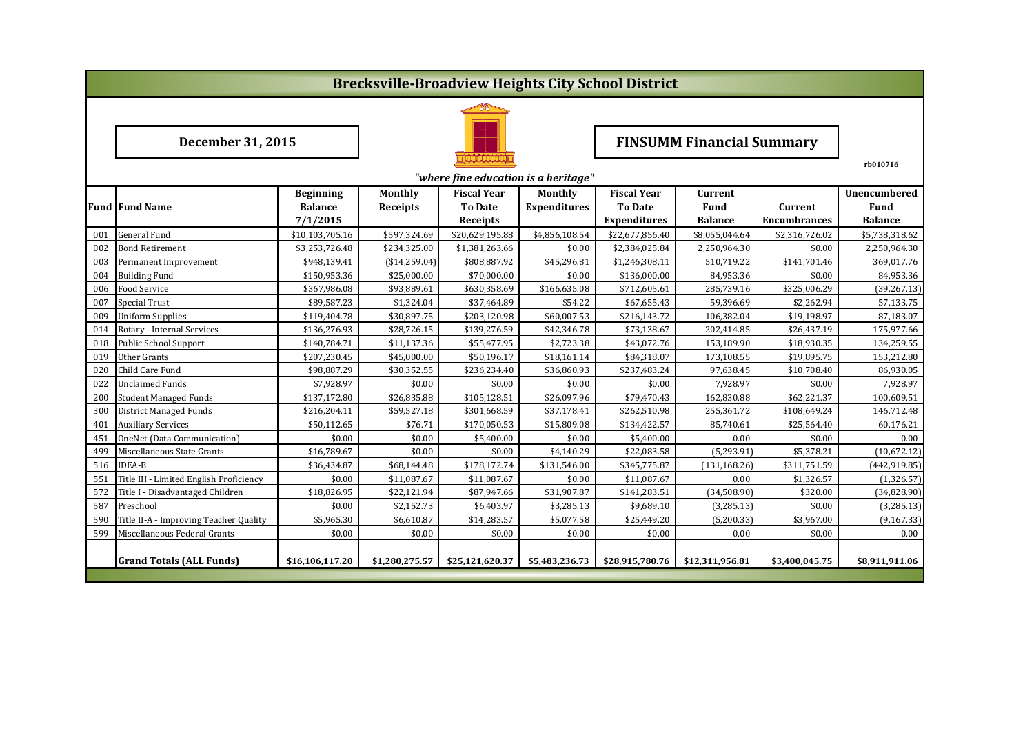|            | <b>Brecksville-Broadview Heights City School District</b> |                              |                                  |                                      |                       |                                |                                |                        |                         |  |  |
|------------|-----------------------------------------------------------|------------------------------|----------------------------------|--------------------------------------|-----------------------|--------------------------------|--------------------------------|------------------------|-------------------------|--|--|
|            |                                                           |                              |                                  |                                      |                       |                                |                                |                        |                         |  |  |
|            | December 31, 2015                                         |                              | <b>FINSUMM Financial Summary</b> |                                      |                       |                                |                                |                        |                         |  |  |
|            |                                                           |                              |                                  |                                      |                       |                                |                                |                        | rb010716                |  |  |
|            |                                                           |                              |                                  | "where fine education is a heritage" |                       |                                |                                |                        |                         |  |  |
|            |                                                           | <b>Beginning</b>             | <b>Monthly</b>                   | <b>Fiscal Year</b>                   | Monthly               | <b>Fiscal Year</b>             | Current                        |                        | <b>Unencumbered</b>     |  |  |
|            | <b>Fund Fund Name</b>                                     | <b>Balance</b>               | Receipts                         | <b>To Date</b>                       | <b>Expenditures</b>   | <b>To Date</b>                 | <b>Fund</b>                    | Current                | Fund                    |  |  |
|            |                                                           | 7/1/2015                     |                                  | <b>Receipts</b>                      |                       | <b>Expenditures</b>            | <b>Balance</b>                 | <b>Encumbrances</b>    | <b>Balance</b>          |  |  |
| 001<br>002 | <b>General Fund</b>                                       | \$10,103,705.16              | \$597,324.69                     | \$20,629,195.88                      | \$4,856,108.54        | \$22,677,856.40                | \$8,055,044.64<br>2,250,964.30 | \$2,316,726.02         | \$5,738,318.62          |  |  |
|            | <b>Bond Retirement</b>                                    | \$3,253,726.48               | \$234,325.00                     | \$1,381,263.66                       | \$0.00<br>\$45,296.81 | \$2,384,025.84                 |                                | \$0.00<br>\$141,701.46 | 2,250,964.30            |  |  |
| 003<br>004 | Permanent Improvement<br><b>Building Fund</b>             | \$948,139.41<br>\$150,953.36 | (\$14,259.04)<br>\$25,000.00     | \$808,887.92<br>\$70,000.00          | \$0.00                | \$1,246,308.11<br>\$136,000.00 | 510,719.22<br>84,953.36        | \$0.00                 | 369,017.76<br>84,953.36 |  |  |
| 006        | Food Service                                              | \$367,986.08                 | \$93,889.61                      | \$630,358.69                         | \$166,635.08          | \$712,605.61                   | 285,739.16                     | \$325,006.29           | (39, 267.13)            |  |  |
| 007        | Special Trust                                             | \$89,587.23                  | \$1,324.04                       | \$37,464.89                          | \$54.22               | \$67,655.43                    | 59,396.69                      | \$2,262.94             | 57,133.75               |  |  |
| 009        | <b>Uniform Supplies</b>                                   | \$119,404.78                 | \$30,897.75                      | \$203,120.98                         | \$60,007.53           | \$216,143.72                   | 106,382.04                     | \$19,198.97            | 87,183.07               |  |  |
| 014        | Rotary - Internal Services                                | \$136,276.93                 | \$28,726.15                      | \$139,276.59                         | \$42,346.78           | \$73,138.67                    | 202,414.85                     | \$26,437.19            | 175,977.66              |  |  |
| 018        | Public School Support                                     | \$140,784.71                 | \$11,137.36                      | \$55,477.95                          | \$2,723.38            | \$43,072.76                    | 153,189.90                     | \$18,930.35            | 134,259.55              |  |  |
| 019        | Other Grants                                              | \$207,230.45                 | \$45,000.00                      | \$50,196.17                          | \$18,161.14           | \$84,318.07                    | 173,108.55                     | \$19,895.75            | 153,212.80              |  |  |
| 020        | Child Care Fund                                           | \$98,887.29                  | \$30,352.55                      | \$236,234.40                         | \$36,860.93           | \$237,483.24                   | 97,638.45                      | \$10,708.40            | 86,930.05               |  |  |
| 022        | <b>Unclaimed Funds</b>                                    | \$7,928.97                   | \$0.00                           | \$0.00                               | \$0.00                | \$0.00                         | 7,928.97                       | \$0.00                 | 7,928.97                |  |  |
| 200        | <b>Student Managed Funds</b>                              | \$137,172.80                 | \$26,835.88                      | \$105,128.51                         | \$26,097.96           | \$79,470.43                    | 162,830.88                     | \$62,221.37            | 100,609.51              |  |  |
| 300        | <b>District Managed Funds</b>                             | \$216,204.11                 | \$59,527.18                      | \$301,668.59                         | \$37,178.41           | \$262,510.98                   | 255,361.72                     | \$108,649.24           | 146,712.48              |  |  |
| 401        | <b>Auxiliary Services</b>                                 | \$50,112.65                  | \$76.71                          | \$170,050.53                         | \$15,809.08           | \$134,422.57                   | 85,740.61                      | \$25,564.40            | 60,176.21               |  |  |
| 451        | <b>OneNet (Data Communication)</b>                        | \$0.00                       | \$0.00                           | \$5,400.00                           | \$0.00                | \$5,400.00                     | 0.00                           | \$0.00                 | 0.00                    |  |  |
| 499        | Miscellaneous State Grants                                | \$16,789.67                  | \$0.00                           | \$0.00                               | \$4,140.29            | \$22,083.58                    | (5, 293.91)                    | \$5,378.21             | (10,672.12)             |  |  |
| 516        | <b>IDEA-B</b>                                             | \$36,434.87                  | \$68,144.48                      | \$178,172.74                         | \$131,546.00          | \$345,775.87                   | (131, 168.26)                  | \$311,751.59           | (442, 919.85)           |  |  |
| 551        | Title III - Limited English Proficiency                   | \$0.00                       | \$11,087.67                      | \$11,087.67                          | \$0.00                | \$11,087.67                    | 0.00                           | \$1,326.57             | (1,326.57)              |  |  |
| 572        | Title I - Disadvantaged Children                          | \$18,826.95                  | \$22,121.94                      | \$87,947.66                          | \$31,907.87           | \$141,283.51                   | (34,508.90)                    | \$320.00               | (34,828.90)             |  |  |
| 587        | Preschool                                                 | \$0.00                       | \$2,152.73                       | \$6,403.97                           | \$3,285.13            | \$9,689.10                     | (3, 285.13)                    | \$0.00                 | (3, 285.13)             |  |  |
| 590        | Title II-A - Improving Teacher Quality                    | \$5,965.30                   | \$6,610.87                       | \$14,283.57                          | \$5,077.58            | \$25,449.20                    | (5,200.33)                     | \$3,967.00             | (9, 167.33)             |  |  |
| 599        | Miscellaneous Federal Grants                              | \$0.00                       | \$0.00                           | \$0.00                               | \$0.00                | \$0.00                         | 0.00                           | \$0.00                 | 0.00                    |  |  |
|            |                                                           |                              |                                  |                                      |                       |                                |                                |                        |                         |  |  |
|            | <b>Grand Totals (ALL Funds)</b>                           | \$16,106,117.20              | \$1,280,275.57                   | \$25,121,620.37                      | \$5,483,236.73        | \$28,915,780.76                | \$12,311,956.81                | \$3,400,045.75         | \$8,911,911.06          |  |  |
|            |                                                           |                              |                                  |                                      |                       |                                |                                |                        |                         |  |  |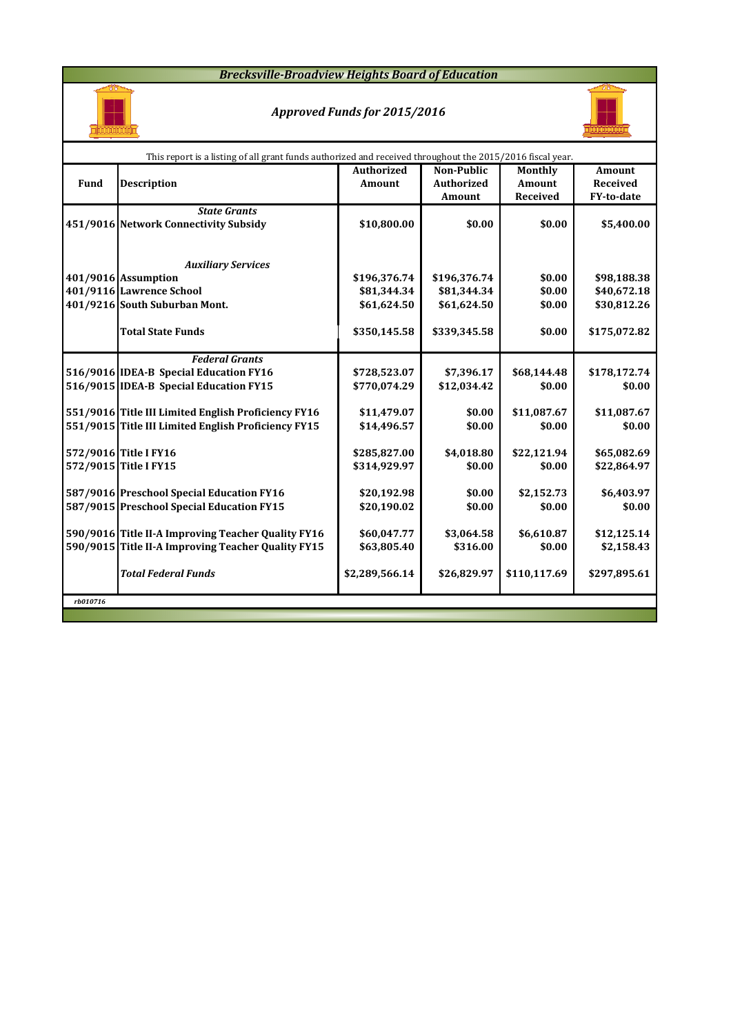### *Brecksville-Broadview Heights Board of Education*



## *Approved Funds for 2015/2016*



|          | This report is a listing of all grant funds authorized and received throughout the 2015/2016 fiscal year. |                   |                   |               |                 |
|----------|-----------------------------------------------------------------------------------------------------------|-------------------|-------------------|---------------|-----------------|
|          |                                                                                                           | <b>Authorized</b> | <b>Non-Public</b> | Monthly       | <b>Amount</b>   |
| Fund     | <b>Description</b>                                                                                        | Amount            | <b>Authorized</b> | <b>Amount</b> | <b>Received</b> |
|          |                                                                                                           |                   | Amount            | Received      | FY-to-date      |
|          | <b>State Grants</b>                                                                                       |                   |                   |               |                 |
|          | 451/9016 Network Connectivity Subsidy                                                                     | \$10,800.00       | \$0.00            | \$0.00        | \$5,400.00      |
|          |                                                                                                           |                   |                   |               |                 |
|          |                                                                                                           |                   |                   |               |                 |
|          | <b>Auxiliary Services</b>                                                                                 |                   |                   |               |                 |
|          | 401/9016 Assumption                                                                                       | \$196,376.74      | \$196,376.74      | \$0.00        | \$98,188.38     |
|          | 401/9116 Lawrence School                                                                                  | \$81,344.34       | \$81,344.34       | \$0.00        | \$40,672.18     |
|          | 401/9216 South Suburban Mont.                                                                             | \$61,624.50       | \$61,624.50       | \$0.00        | \$30,812.26     |
|          |                                                                                                           |                   |                   |               |                 |
|          | <b>Total State Funds</b>                                                                                  | \$350,145.58      | \$339,345.58      | \$0.00        | \$175,072.82    |
|          |                                                                                                           |                   |                   |               |                 |
|          | <b>Federal Grants</b>                                                                                     |                   |                   |               |                 |
|          | 516/9016 IDEA-B Special Education FY16                                                                    | \$728,523.07      | \$7,396.17        | \$68,144.48   | \$178,172.74    |
|          | 516/9015 IDEA-B Special Education FY15                                                                    | \$770,074.29      | \$12,034.42       | \$0.00        | \$0.00          |
|          | 551/9016 Title III Limited English Proficiency FY16                                                       | \$11,479.07       | \$0.00            | \$11,087.67   | \$11,087.67     |
|          | 551/9015 Title III Limited English Proficiency FY15                                                       | \$14,496.57       | \$0.00            | \$0.00        | \$0.00          |
|          |                                                                                                           |                   |                   |               |                 |
|          | 572/9016 Title I FY16                                                                                     | \$285,827.00      | \$4,018.80        | \$22,121.94   | \$65,082.69     |
|          | 572/9015 Title I FY15                                                                                     | \$314,929.97      | \$0.00            | \$0.00        | \$22,864.97     |
|          |                                                                                                           |                   |                   |               |                 |
|          | 587/9016 Preschool Special Education FY16                                                                 | \$20,192.98       | \$0.00            | \$2,152.73    | \$6,403.97      |
|          | 587/9015 Preschool Special Education FY15                                                                 | \$20,190.02       | \$0.00            | \$0.00        | \$0.00          |
|          |                                                                                                           |                   |                   |               |                 |
|          | 590/9016 Title II-A Improving Teacher Quality FY16                                                        | \$60,047.77       | \$3,064.58        | \$6,610.87    | \$12,125.14     |
|          | 590/9015 Title II-A Improving Teacher Quality FY15                                                        | \$63,805.40       | \$316.00          | \$0.00        | \$2,158.43      |
|          |                                                                                                           |                   |                   |               |                 |
|          | <b>Total Federal Funds</b>                                                                                | \$2,289,566.14    | \$26,829.97       | \$110,117.69  | \$297,895.61    |
|          |                                                                                                           |                   |                   |               |                 |
| rb010716 |                                                                                                           |                   |                   |               |                 |
|          |                                                                                                           |                   |                   |               |                 |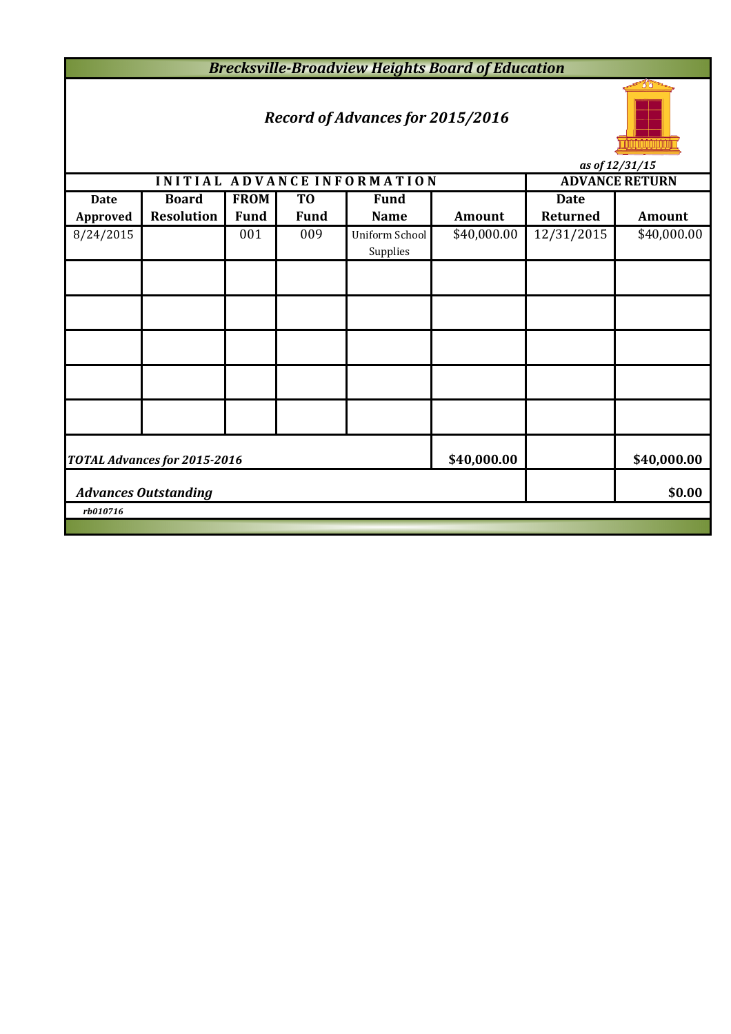*Brecksville-Broadview Heights Board of Education*

# *Record of Advances for 2015/2016*



**INITIAL ADVANCE INFORMATION ADVANCE RETURN Date Board FROM TO Fund Date Approved Resolution Fund Fund Name Amount Returned Amount** 8/24/2015 001 009 Uniform School \$40,000.00 12/31/2015 \$40,000.00 Supplies **\$40,000.00 \$40,000.00 \$0.00** *rb010716 Advances Outstanding TOTAL Advances for 2015-2016*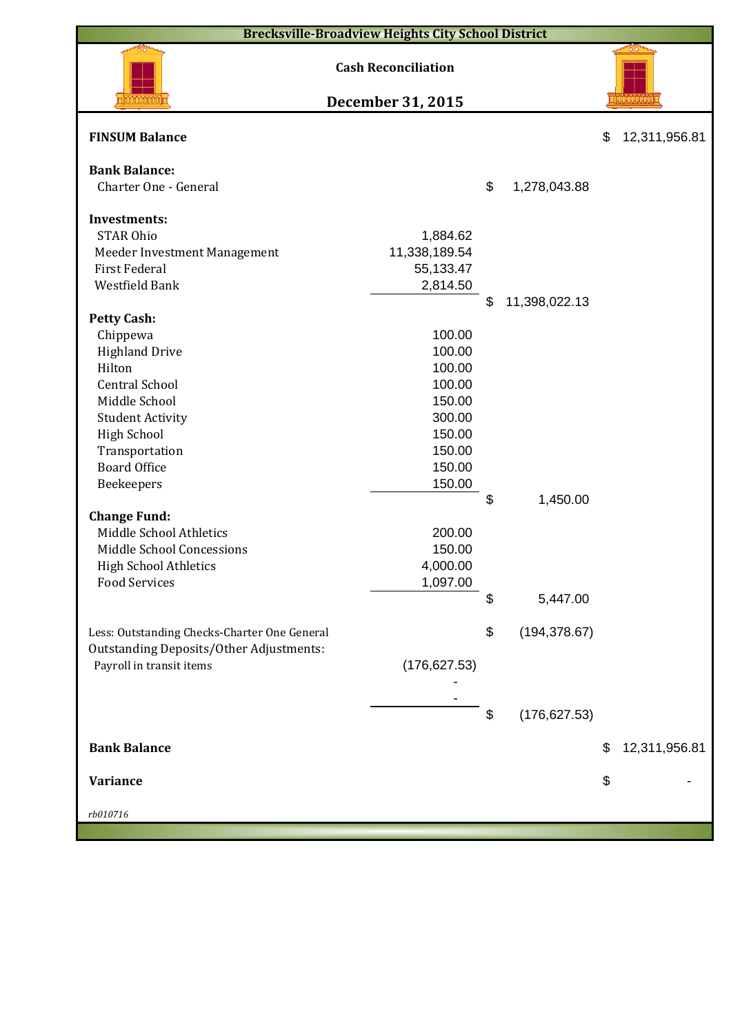|                                                      | <b>Brecksville-Broadview Heights City School District</b> |                     |                     |
|------------------------------------------------------|-----------------------------------------------------------|---------------------|---------------------|
|                                                      | <b>Cash Reconciliation</b>                                |                     |                     |
|                                                      | December 31, 2015                                         |                     |                     |
| <b>FINSUM Balance</b>                                |                                                           |                     | \$<br>12,311,956.81 |
| <b>Bank Balance:</b>                                 |                                                           |                     |                     |
| Charter One - General                                |                                                           | \$<br>1,278,043.88  |                     |
|                                                      |                                                           |                     |                     |
| <b>Investments:</b>                                  |                                                           |                     |                     |
| <b>STAR Ohio</b>                                     | 1,884.62                                                  |                     |                     |
| Meeder Investment Management                         | 11,338,189.54                                             |                     |                     |
| <b>First Federal</b>                                 | 55,133.47                                                 |                     |                     |
| Westfield Bank                                       | 2,814.50                                                  |                     |                     |
|                                                      |                                                           | \$<br>11,398,022.13 |                     |
| <b>Petty Cash:</b>                                   |                                                           |                     |                     |
| Chippewa                                             | 100.00                                                    |                     |                     |
| <b>Highland Drive</b>                                | 100.00                                                    |                     |                     |
| Hilton                                               | 100.00                                                    |                     |                     |
| <b>Central School</b>                                | 100.00                                                    |                     |                     |
| Middle School                                        | 150.00                                                    |                     |                     |
| <b>Student Activity</b>                              | 300.00                                                    |                     |                     |
| <b>High School</b>                                   | 150.00                                                    |                     |                     |
| Transportation                                       | 150.00                                                    |                     |                     |
| <b>Board Office</b>                                  | 150.00                                                    |                     |                     |
| Beekeepers                                           | 150.00                                                    |                     |                     |
|                                                      |                                                           | \$<br>1,450.00      |                     |
| <b>Change Fund:</b>                                  |                                                           |                     |                     |
| Middle School Athletics                              | 200.00                                                    |                     |                     |
| Middle School Concessions                            | 150.00                                                    |                     |                     |
| <b>High School Athletics</b><br><b>Food Services</b> | 4,000.00<br>1,097.00                                      |                     |                     |
|                                                      |                                                           | \$                  |                     |
|                                                      |                                                           | 5,447.00            |                     |
| Less: Outstanding Checks-Charter One General         |                                                           | \$<br>(194, 378.67) |                     |
| <b>Outstanding Deposits/Other Adjustments:</b>       |                                                           |                     |                     |
| Payroll in transit items                             | (176, 627.53)                                             |                     |                     |
|                                                      |                                                           |                     |                     |
|                                                      |                                                           |                     |                     |
|                                                      |                                                           | \$<br>(176, 627.53) |                     |
|                                                      |                                                           |                     |                     |
| <b>Bank Balance</b>                                  |                                                           |                     | \$<br>12,311,956.81 |
|                                                      |                                                           |                     |                     |
| Variance                                             |                                                           |                     | \$                  |
|                                                      |                                                           |                     |                     |
| rb010716                                             |                                                           |                     |                     |
|                                                      |                                                           |                     |                     |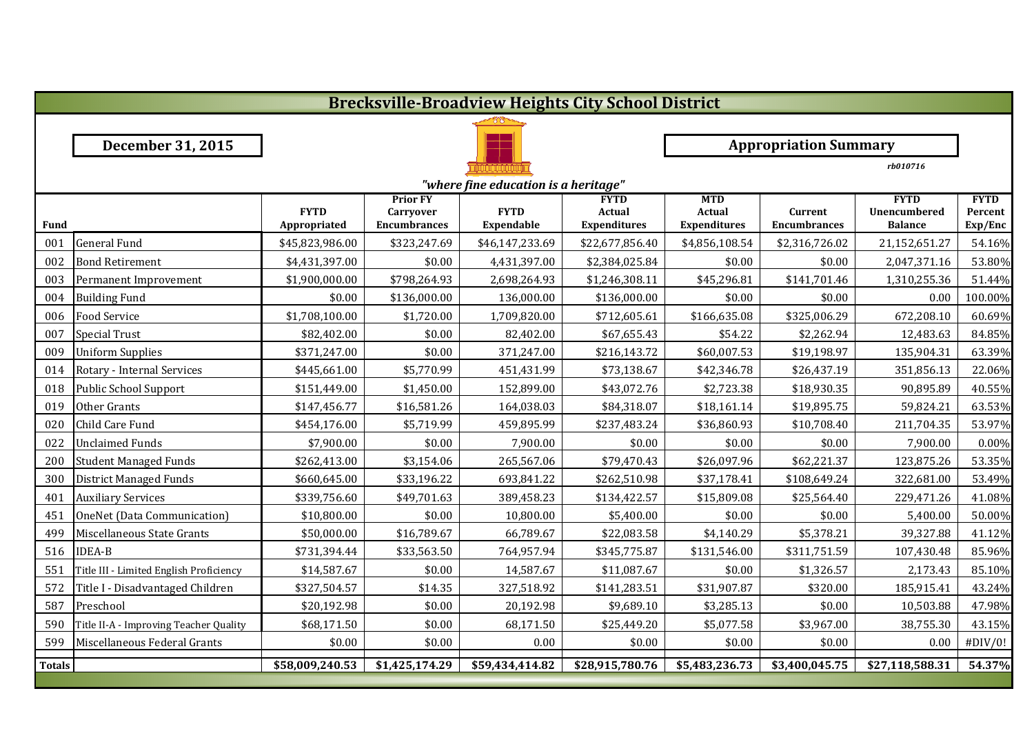|               | <b>Brecksville-Broadview Heights City School District</b> |                             |                                                            |                                      |                                              |                                                    |                                |                                                      |                                   |  |  |  |
|---------------|-----------------------------------------------------------|-----------------------------|------------------------------------------------------------|--------------------------------------|----------------------------------------------|----------------------------------------------------|--------------------------------|------------------------------------------------------|-----------------------------------|--|--|--|
|               |                                                           |                             |                                                            |                                      |                                              |                                                    |                                |                                                      |                                   |  |  |  |
|               | December 31, 2015                                         |                             |                                                            |                                      |                                              |                                                    | <b>Appropriation Summary</b>   |                                                      |                                   |  |  |  |
|               |                                                           |                             |                                                            |                                      |                                              |                                                    |                                | rb010716                                             |                                   |  |  |  |
|               |                                                           |                             |                                                            | "where fine education is a heritage" |                                              |                                                    |                                |                                                      |                                   |  |  |  |
| Fund          |                                                           | <b>FYTD</b><br>Appropriated | <b>Prior FY</b><br><b>Carryover</b><br><b>Encumbrances</b> | <b>FYTD</b><br><b>Expendable</b>     | <b>FYTD</b><br>Actual<br><b>Expenditures</b> | <b>MTD</b><br><b>Actual</b><br><b>Expenditures</b> | Current<br><b>Encumbrances</b> | <b>FYTD</b><br><b>Unencumbered</b><br><b>Balance</b> | <b>FYTD</b><br>Percent<br>Exp/Enc |  |  |  |
| 001           | <b>General Fund</b>                                       | \$45,823,986.00             | \$323,247.69                                               | \$46,147,233.69                      | \$22,677,856.40                              | \$4,856,108.54                                     | \$2,316,726.02                 | 21,152,651.27                                        | 54.16%                            |  |  |  |
| 002           | <b>Bond Retirement</b>                                    | \$4,431,397.00              | \$0.00                                                     | 4,431,397.00                         | \$2,384,025.84                               | \$0.00                                             | \$0.00                         | 2,047,371.16                                         | 53.80%                            |  |  |  |
| 003           | Permanent Improvement                                     | \$1,900,000.00              | \$798,264.93                                               | 2,698,264.93                         | \$1,246,308.11                               | \$45,296.81                                        | \$141,701.46                   | 1,310,255.36                                         | 51.44%                            |  |  |  |
| 004           | <b>Building Fund</b>                                      | \$0.00                      | \$136,000.00                                               | 136,000.00                           | \$136,000.00                                 | \$0.00                                             | \$0.00                         | 0.00                                                 | 100.00%                           |  |  |  |
| 006           | <b>Food Service</b>                                       | \$1,708,100.00              | \$1,720.00                                                 | 1,709,820.00                         | \$712,605.61                                 | \$166,635.08                                       | \$325,006.29                   | 672,208.10                                           | 60.69%                            |  |  |  |
| 007           | <b>Special Trust</b>                                      | \$82,402.00                 | \$0.00                                                     | 82,402.00                            | \$67,655.43                                  | \$54.22                                            | \$2,262.94                     | 12,483.63                                            | 84.85%                            |  |  |  |
| 009           | <b>Uniform Supplies</b>                                   | \$371,247.00                | \$0.00                                                     | 371,247.00                           | \$216,143.72                                 | \$60,007.53                                        | \$19,198.97                    | 135,904.31                                           | 63.39%                            |  |  |  |
| 014           | Rotary - Internal Services                                | \$445,661.00                | \$5,770.99                                                 | 451,431.99                           | \$73,138.67                                  | \$42,346.78                                        | \$26,437.19                    | 351,856.13                                           | 22.06%                            |  |  |  |
| 018           | <b>Public School Support</b>                              | \$151,449.00                | \$1,450.00                                                 | 152,899.00                           | \$43,072.76                                  | \$2,723.38                                         | \$18,930.35                    | 90,895.89                                            | 40.55%                            |  |  |  |
| 019           | Other Grants                                              | \$147,456.77                | \$16,581.26                                                | 164,038.03                           | \$84,318.07                                  | \$18,161.14                                        | \$19,895.75                    | 59,824.21                                            | 63.53%                            |  |  |  |
| 020           | Child Care Fund                                           | \$454,176.00                | \$5,719.99                                                 | 459,895.99                           | \$237,483.24                                 | \$36,860.93                                        | \$10,708.40                    | 211,704.35                                           | 53.97%                            |  |  |  |
| 022           | <b>Unclaimed Funds</b>                                    | \$7,900.00                  | \$0.00                                                     | 7,900.00                             | \$0.00                                       | \$0.00                                             | \$0.00                         | 7,900.00                                             | 0.00%                             |  |  |  |
| 200           | <b>Student Managed Funds</b>                              | \$262,413.00                | \$3,154.06                                                 | 265,567.06                           | \$79,470.43                                  | \$26,097.96                                        | \$62,221.37                    | 123,875.26                                           | 53.35%                            |  |  |  |
| 300           | <b>District Managed Funds</b>                             | \$660,645.00                | \$33,196.22                                                | 693,841.22                           | \$262,510.98                                 | \$37,178.41                                        | \$108,649.24                   | 322,681.00                                           | 53.49%                            |  |  |  |
| 401           | <b>Auxiliary Services</b>                                 | \$339,756.60                | \$49,701.63                                                | 389,458.23                           | \$134,422.57                                 | \$15,809.08                                        | \$25,564.40                    | 229,471.26                                           | 41.08%                            |  |  |  |
| 451           | OneNet (Data Communication)                               | \$10,800.00                 | \$0.00                                                     | 10,800.00                            | \$5,400.00                                   | \$0.00                                             | \$0.00                         | 5,400.00                                             | 50.00%                            |  |  |  |
| 499           | Miscellaneous State Grants                                | \$50,000.00                 | \$16,789.67                                                | 66,789.67                            | \$22,083.58                                  | \$4,140.29                                         | \$5,378.21                     | 39,327.88                                            | 41.12%                            |  |  |  |
| 516           | <b>IDEA-B</b>                                             | \$731,394.44                | \$33,563.50                                                | 764,957.94                           | \$345,775.87                                 | \$131,546.00                                       | \$311,751.59                   | 107,430.48                                           | 85.96%                            |  |  |  |
| 551           | Title III - Limited English Proficiency                   | \$14,587.67                 | \$0.00                                                     | 14,587.67                            | \$11,087.67                                  | \$0.00                                             | \$1,326.57                     | 2,173.43                                             | 85.10%                            |  |  |  |
| 572           | Title I - Disadvantaged Children                          | \$327,504.57                | \$14.35                                                    | 327,518.92                           | \$141,283.51                                 | \$31,907.87                                        | \$320.00                       | 185,915.41                                           | 43.24%                            |  |  |  |
| 587           | Preschool                                                 | \$20,192.98                 | \$0.00                                                     | 20,192.98                            | \$9,689.10                                   | \$3,285.13                                         | \$0.00                         | 10,503.88                                            | 47.98%                            |  |  |  |
| 590           | Title II-A - Improving Teacher Quality                    | \$68,171.50                 | \$0.00                                                     | 68,171.50                            | \$25,449.20                                  | \$5,077.58                                         | \$3,967.00                     | 38,755.30                                            | 43.15%                            |  |  |  |
| 599           | Miscellaneous Federal Grants                              | \$0.00                      | \$0.00                                                     | 0.00                                 | \$0.00                                       | \$0.00                                             | \$0.00                         | 0.00                                                 | #DIV/0!                           |  |  |  |
| <b>Totals</b> |                                                           | \$58,009,240.53             | \$1,425,174.29                                             | \$59,434,414.82                      | \$28,915,780.76                              | \$5,483,236.73                                     | \$3,400,045.75                 | \$27,118,588.31                                      | 54.37%                            |  |  |  |